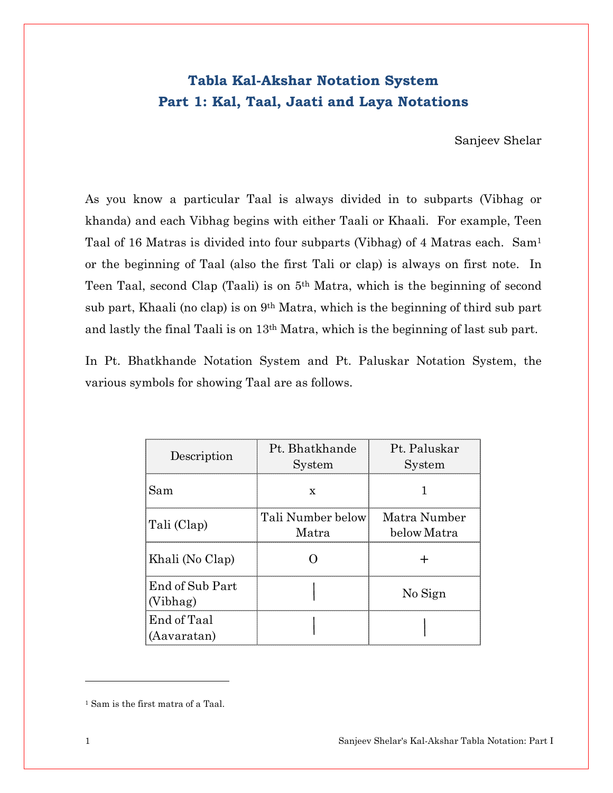# Tabla Kal-Akshar Notation System Part 1: Kal, Taal, Jaati and Laya Notations

Sanjeev Shelar

As you know a particular Taal is always divided in to subparts (Vibhag or khanda) and each Vibhag begins with either Taali or Khaali. For example, Teen Taal of 16 Matras is divided into four subparts (Vibhag) of 4 Matras each. Sam<sup>1</sup> or the beginning of Taal (also the first Tali or clap) is always on first note. In Teen Taal, second Clap (Taali) is on 5th Matra, which is the beginning of second sub part, Khaali (no clap) is on 9th Matra, which is the beginning of third sub part and lastly the final Taali is on 13th Matra, which is the beginning of last sub part.

In Pt. Bhatkhande Notation System and Pt. Paluskar Notation System, the various symbols for showing Taal are as follows.

| Description                 | Pt. Bhatkhande<br>System   | Pt. Paluskar<br>System      |
|-----------------------------|----------------------------|-----------------------------|
| Sam                         | x                          |                             |
| Tali (Clap)                 | Tali Number below<br>Matra | Matra Number<br>below Matra |
| Khali (No Clap)             |                            |                             |
| End of Sub Part<br>(Vibhag) |                            | No Sign                     |
| End of Taal<br>(Aavaratan)  |                            |                             |

l

<sup>1</sup> Sam is the first matra of a Taal.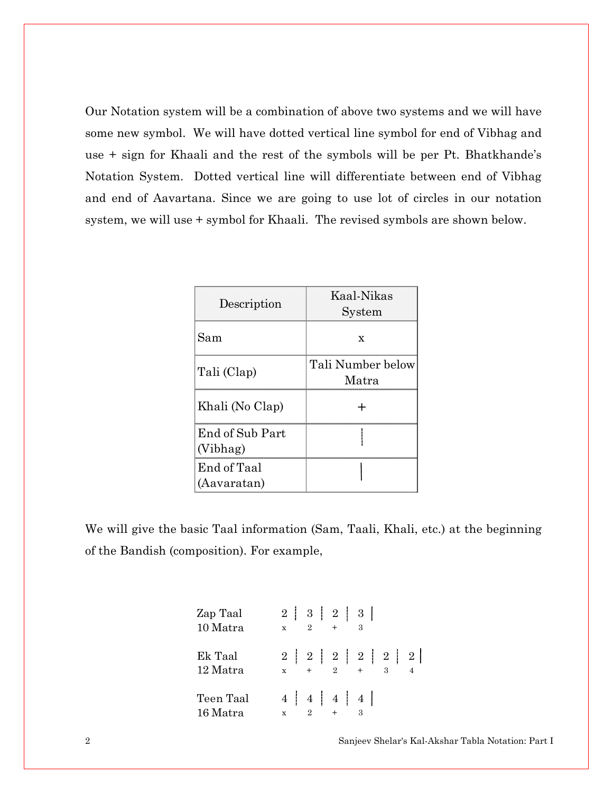Our Notation system will be a combination of above two systems and we will have some new symbol. We will have dotted vertical line symbol for end of Vibhag and use + sign for Khaali and the rest of the symbols will be per Pt. Bhatkhande's Notation System. Dotted vertical line will differentiate between end of Vibhag and end of Aavartana. Since we are going to use lot of circles in our notation system, we will use + symbol for Khaali. The revised symbols are shown below.

| Description                 | Kaal-Nikas<br>System       |
|-----------------------------|----------------------------|
| Sam                         | X                          |
| Tali (Clap)                 | Tali Number below<br>Matra |
| Khali (No Clap)             |                            |
| End of Sub Part<br>(Vibhag) |                            |
| End of Taal<br>(Aavaratan)  |                            |

We will give the basic Taal information (Sam, Taali, Khali, etc.) at the beginning of the Bandish (composition). For example,

| $\mathbf{x}$ | $2^{\circ}$ |     | $\cdot$ 3 |                                  |                                      |
|--------------|-------------|-----|-----------|----------------------------------|--------------------------------------|
| $\mathbf{x}$ |             |     |           |                                  |                                      |
| $\mathbf{x}$ | $2^{\circ}$ | $+$ |           |                                  |                                      |
|              |             |     | $+$       | 2   3   2   3  <br>4   4   4   4 | 2   2   2   2   2   2   2<br>$2 + 3$ |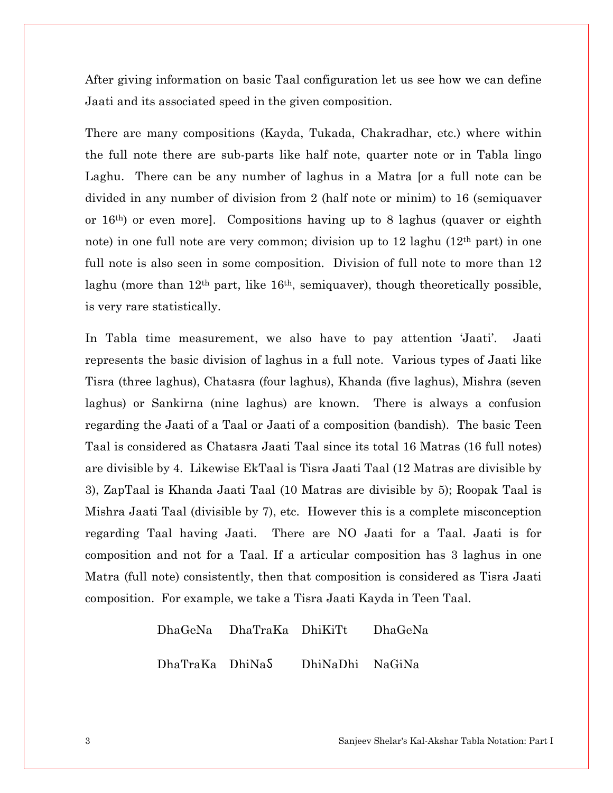After giving information on basic Taal configuration let us see how we can define Jaati and its associated speed in the given composition.

There are many compositions (Kayda, Tukada, Chakradhar, etc.) where within the full note there are sub-parts like half note, quarter note or in Tabla lingo Laghu. There can be any number of laghus in a Matra [or a full note can be divided in any number of division from 2 (half note or minim) to 16 (semiquaver or 16th) or even more]. Compositions having up to 8 laghus (quaver or eighth note) in one full note are very common; division up to 12 laghu (12th part) in one full note is also seen in some composition. Division of full note to more than 12 laghu (more than 12th part, like 16th, semiquaver), though theoretically possible, is very rare statistically.

In Tabla time measurement, we also have to pay attention 'Jaati'. Jaati represents the basic division of laghus in a full note. Various types of Jaati like Tisra (three laghus), Chatasra (four laghus), Khanda (five laghus), Mishra (seven laghus) or Sankirna (nine laghus) are known. There is always a confusion regarding the Jaati of a Taal or Jaati of a composition (bandish). The basic Teen Taal is considered as Chatasra Jaati Taal since its total 16 Matras (16 full notes) are divisible by 4. Likewise EkTaal is Tisra Jaati Taal (12 Matras are divisible by 3), ZapTaal is Khanda Jaati Taal (10 Matras are divisible by 5); Roopak Taal is Mishra Jaati Taal (divisible by 7), etc. However this is a complete misconception regarding Taal having Jaati. There are NO Jaati for a Taal. Jaati is for composition and not for a Taal. If a articular composition has 3 laghus in one Matra (full note) consistently, then that composition is considered as Tisra Jaati composition. For example, we take a Tisra Jaati Kayda in Teen Taal.

> DhaGeNa DhaTraKa DhiKiTt DhaGeNa DhaTraKa DhiNa@ DhiNaDhi NaGiNa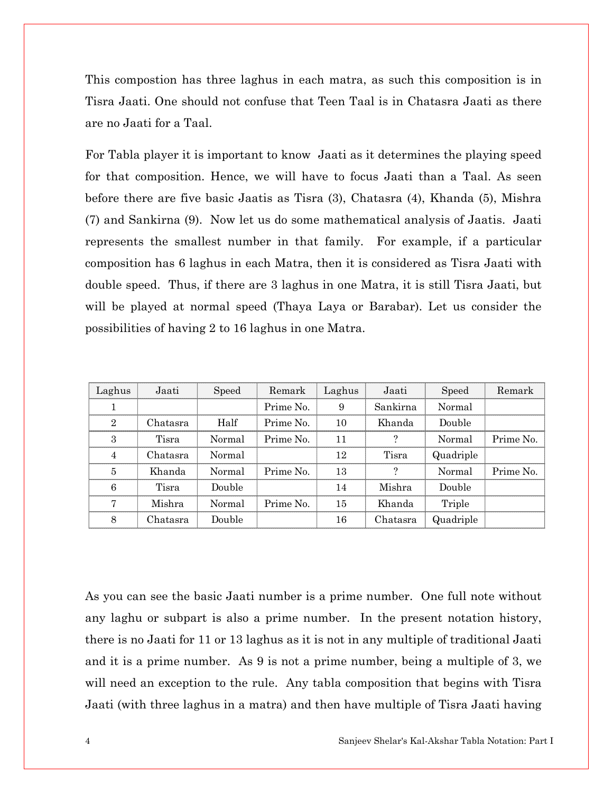This compostion has three laghus in each matra, as such this composition is in Tisra Jaati. One should not confuse that Teen Taal is in Chatasra Jaati as there are no Jaati for a Taal.

For Tabla player it is important to know Jaati as it determines the playing speed for that composition. Hence, we will have to focus Jaati than a Taal. As seen before there are five basic Jaatis as Tisra (3), Chatasra (4), Khanda (5), Mishra (7) and Sankirna (9). Now let us do some mathematical analysis of Jaatis. Jaati represents the smallest number in that family. For example, if a particular composition has 6 laghus in each Matra, then it is considered as Tisra Jaati with double speed. Thus, if there are 3 laghus in one Matra, it is still Tisra Jaati, but will be played at normal speed (Thaya Laya or Barabar). Let us consider the possibilities of having 2 to 16 laghus in one Matra.

| Laghus         | Jaati    | Speed  | Remark    | Laghus | Jaati              | Speed     | Remark    |
|----------------|----------|--------|-----------|--------|--------------------|-----------|-----------|
| 1              |          |        | Prime No. | 9      | Sankirna           | Normal    |           |
| $\overline{2}$ | Chatasra | Half   | Prime No. | 10     | Khanda             | Double    |           |
| 3              | Tisra    | Normal | Prime No. | 11     | $\overline{\cdot}$ | Normal    | Prime No. |
| 4              | Chatasra | Normal |           | 12     | Tisra              | Quadriple |           |
| 5              | Khanda   | Normal | Prime No. | 13     | ?                  | Normal    | Prime No. |
| 6              | Tisra    | Double |           | 14     | Mishra             | Double    |           |
| 7              | Mishra   | Normal | Prime No. | 15     | Khanda             | Triple    |           |
| 8              | Chatasra | Double |           | 16     | Chatasra           | Quadriple |           |

As you can see the basic Jaati number is a prime number. One full note without any laghu or subpart is also a prime number. In the present notation history, there is no Jaati for 11 or 13 laghus as it is not in any multiple of traditional Jaati and it is a prime number. As 9 is not a prime number, being a multiple of 3, we will need an exception to the rule. Any tabla composition that begins with Tisra Jaati (with three laghus in a matra) and then have multiple of Tisra Jaati having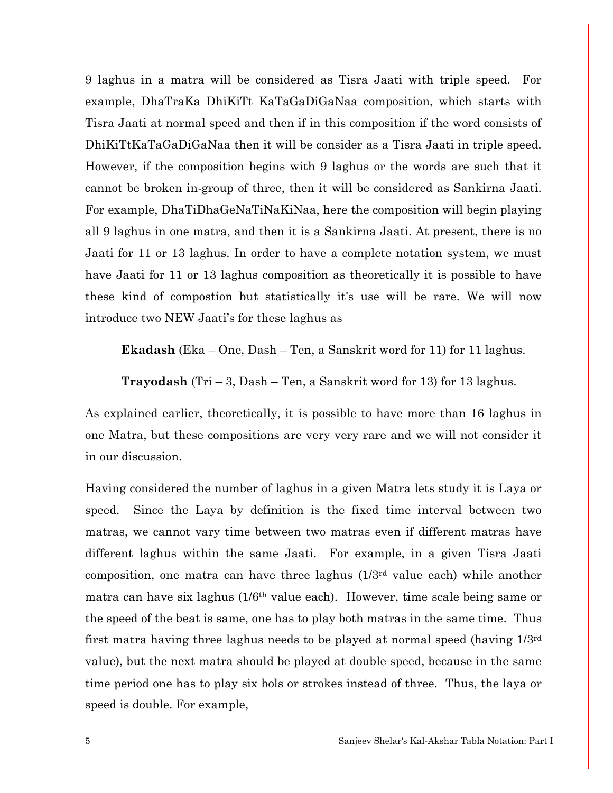9 laghus in a matra will be considered as Tisra Jaati with triple speed. For example, DhaTraKa DhiKiTt KaTaGaDiGaNaa composition, which starts with Tisra Jaati at normal speed and then if in this composition if the word consists of DhiKiTtKaTaGaDiGaNaa then it will be consider as a Tisra Jaati in triple speed. However, if the composition begins with 9 laghus or the words are such that it cannot be broken in-group of three, then it will be considered as Sankirna Jaati. For example, DhaTiDhaGeNaTiNaKiNaa, here the composition will begin playing all 9 laghus in one matra, and then it is a Sankirna Jaati. At present, there is no Jaati for 11 or 13 laghus. In order to have a complete notation system, we must have Jaati for 11 or 13 laghus composition as theoretically it is possible to have these kind of compostion but statistically it's use will be rare. We will now introduce two NEW Jaati's for these laghus as

Ekadash (Eka – One, Dash – Ten, a Sanskrit word for 11) for 11 laghus.

**Trayodash** (Tri  $-3$ , Dash  $-$  Ten, a Sanskrit word for 13) for 13 laghus.

As explained earlier, theoretically, it is possible to have more than 16 laghus in one Matra, but these compositions are very very rare and we will not consider it in our discussion.

Having considered the number of laghus in a given Matra lets study it is Laya or speed. Since the Laya by definition is the fixed time interval between two matras, we cannot vary time between two matras even if different matras have different laghus within the same Jaati. For example, in a given Tisra Jaati composition, one matra can have three laghus (1/3rd value each) while another matra can have six laghus (1/6th value each). However, time scale being same or the speed of the beat is same, one has to play both matras in the same time. Thus first matra having three laghus needs to be played at normal speed (having 1/3rd value), but the next matra should be played at double speed, because in the same time period one has to play six bols or strokes instead of three. Thus, the laya or speed is double. For example,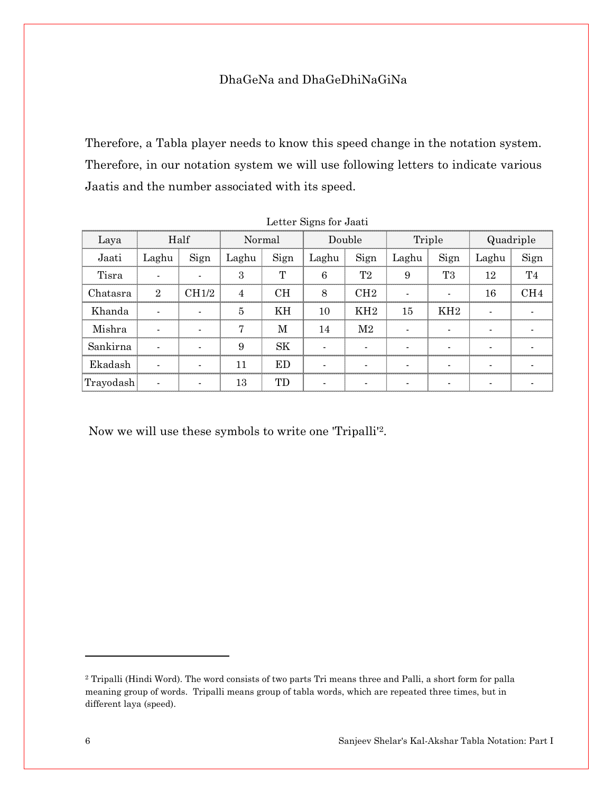# DhaGeNa and DhaGeDhiNaGiNa

Therefore, a Tabla player needs to know this speed change in the notation system. Therefore, in our notation system we will use following letters to indicate various Jaatis and the number associated with its speed.

| Laya      |                          | Half           |                | Normal    |                | Double          |       | Triple                   |       | Quadriple       |
|-----------|--------------------------|----------------|----------------|-----------|----------------|-----------------|-------|--------------------------|-------|-----------------|
| Jaati     | Laghu                    | Sign           | Laghu          | Sign      | Laghu          | Sign            | Laghu | Sign                     | Laghu | Sign            |
| Tisra     | $\blacksquare$           |                | 3              | T         | 6              | T <sub>2</sub>  | 9     | T <sub>3</sub>           | 12    | T <sub>4</sub>  |
| Chatasra  | $\overline{2}$           | CH1/2          | $\overline{4}$ | <b>CH</b> | 8              | CH2             |       | $\overline{\phantom{a}}$ | 16    | CH <sub>4</sub> |
| Khanda    | $\overline{\phantom{a}}$ | $\blacksquare$ | $\overline{5}$ | KH        | 10             | KH <sub>2</sub> | 15    | KH <sub>2</sub>          |       |                 |
| Mishra    | $\blacksquare$           |                | 7              | M         | 14             | $\mathrm{M}2$   |       | $\blacksquare$           |       |                 |
| Sankirna  | $\blacksquare$           | $\blacksquare$ | 9              | <b>SK</b> | $\overline{a}$ | $\blacksquare$  |       | $\overline{\phantom{a}}$ |       |                 |
| Ekadash   | $\blacksquare$           |                | 11             | ED        | $\overline{a}$ | $\blacksquare$  |       | $\blacksquare$           |       |                 |
| Trayodash | $\blacksquare$           |                | 13             | TD        |                |                 |       | $\blacksquare$           |       |                 |

| Letter Signs for Jaati |  |  |  |
|------------------------|--|--|--|
|------------------------|--|--|--|

Now we will use these symbols to write one 'Tripalli'2.

<sup>2</sup> Tripalli (Hindi Word). The word consists of two parts Tri means three and Palli, a short form for palla meaning group of words. Tripalli means group of tabla words, which are repeated three times, but in different laya (speed).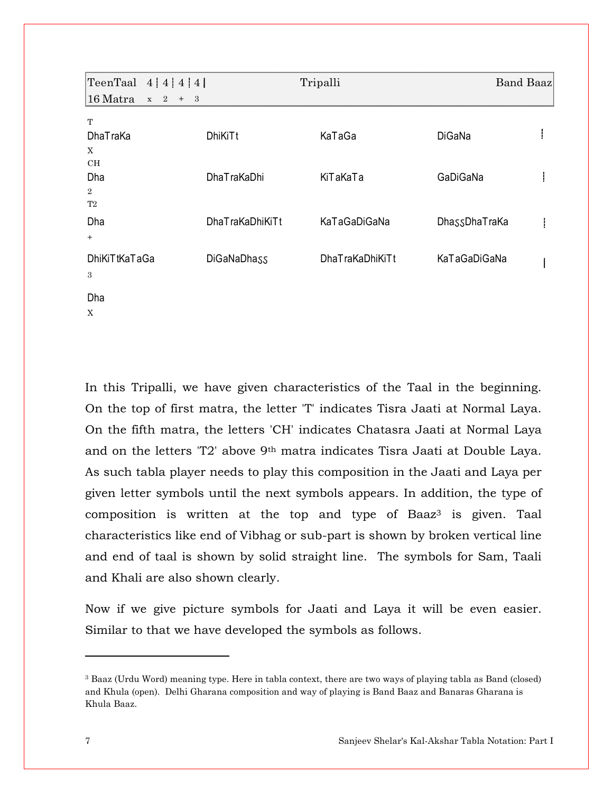| TeenTaal $4 4 4 4$           |                                  | Tripalli               | <b>Band Baaz</b> |  |
|------------------------------|----------------------------------|------------------------|------------------|--|
| 16 Matra<br>2<br>$\mathbf X$ | $+$<br>$\overline{\phantom{a}3}$ |                        |                  |  |
| T                            |                                  |                        |                  |  |
| <b>DhaTraKa</b>              | DhiKiTt                          | KaTaGa                 | <b>DiGaNa</b>    |  |
| X                            |                                  |                        |                  |  |
| CH                           |                                  |                        |                  |  |
| Dha                          | <b>DhaTraKaDhi</b>               | KiTaKaTa               | GaDiGaNa         |  |
| $\overline{2}$               |                                  |                        |                  |  |
| T2                           |                                  |                        |                  |  |
| Dha                          | DhaTraKaDhiKiTt                  | KaTaGaDiGaNa           | DhassDhaTraKa    |  |
| $+$                          |                                  |                        |                  |  |
| <b>DhiKiTtKaTaGa</b>         | DiGaNaDhass                      | <b>DhaTraKaDhiKiTt</b> | KaTaGaDiGaNa     |  |
| 3                            |                                  |                        |                  |  |
|                              |                                  |                        |                  |  |
| Dha                          |                                  |                        |                  |  |
| X                            |                                  |                        |                  |  |

In this Tripalli, we have given characteristics of the Taal in the beginning. On the top of first matra, the letter 'T' indicates Tisra Jaati at Normal Laya. On the fifth matra, the letters 'CH' indicates Chatasra Jaati at Normal Laya and on the letters 'T2' above 9th matra indicates Tisra Jaati at Double Laya. As such tabla player needs to play this composition in the Jaati and Laya per given letter symbols until the next symbols appears. In addition, the type of composition is written at the top and type of Baaz<sup>3</sup> is given. Taal characteristics like end of Vibhag or sub-part is shown by broken vertical line and end of taal is shown by solid straight line. The symbols for Sam, Taali and Khali are also shown clearly.

Now if we give picture symbols for Jaati and Laya it will be even easier. Similar to that we have developed the symbols as follows.

<sup>3</sup> Baaz (Urdu Word) meaning type. Here in tabla context, there are two ways of playing tabla as Band (closed) and Khula (open). Delhi Gharana composition and way of playing is Band Baaz and Banaras Gharana is Khula Baaz.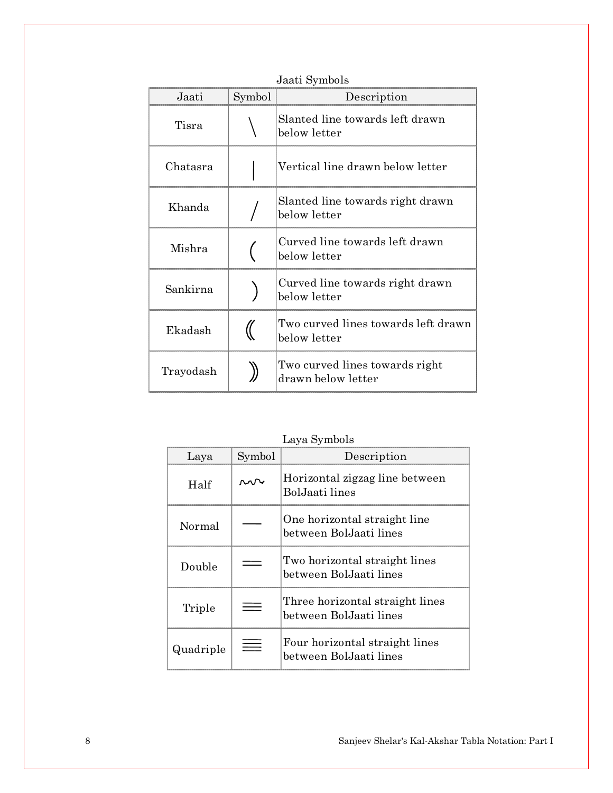| Jaati     | Symbol | Description                                          |  |
|-----------|--------|------------------------------------------------------|--|
| Tisra     |        | Slanted line towards left drawn<br>below letter      |  |
| Chatasra  |        | Vertical line drawn below letter                     |  |
| Khanda    |        | Slanted line towards right drawn<br>below letter     |  |
| Mishra    |        | Curved line towards left drawn<br>below letter       |  |
| Sankirna  |        | Curved line towards right drawn<br>below letter      |  |
| Ekadash   |        | Two curved lines towards left drawn<br>below letter  |  |
| Trayodash |        | Two curved lines towards right<br>drawn below letter |  |

Jaati Symbols

Laya Symbols

| Laya      | Symbol | Description                                               |
|-----------|--------|-----------------------------------------------------------|
| Half      |        | Horizontal zigzag line between<br>BolJaati lines          |
| Normal    |        | One horizontal straight line<br>between BolJaati lines    |
| Double    |        | Two horizontal straight lines<br>between BolJaati lines   |
| Triple    |        | Three horizontal straight lines<br>between BolJaati lines |
| Quadriple |        | Four horizontal straight lines<br>between BolJaati lines  |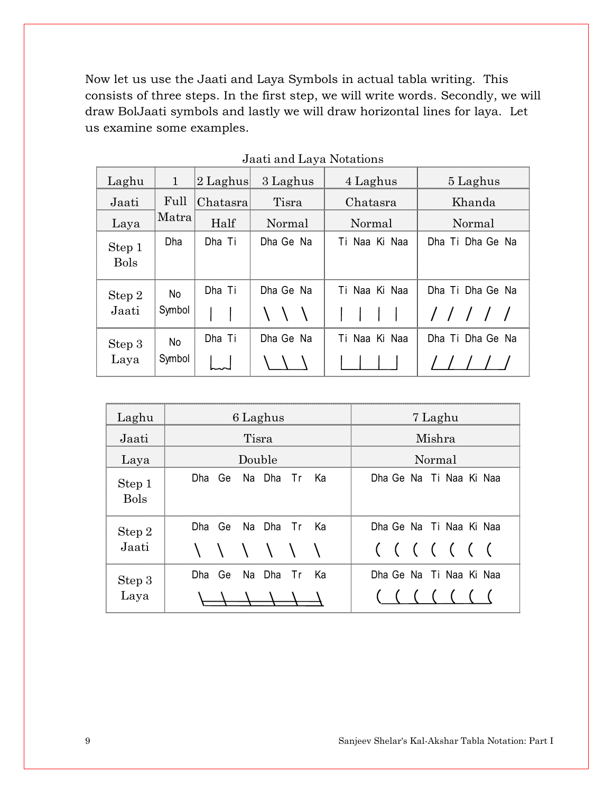Now let us use the Jaati and Laya Symbols in actual tabla writing. This consists of three steps. In the first step, we will write words. Secondly, we will draw BolJaati symbols and lastly we will draw horizontal lines for laya. Let us examine some examples.

| Laghu                 | $\mathbf{1}$  | 2 Laghus | 3 Laghus  | 4 Laghus         | 5 Laghus                  |
|-----------------------|---------------|----------|-----------|------------------|---------------------------|
| Jaati                 | Full          | Chatasra | Tisra     | Chatasra         | Khanda                    |
| Laya                  | Matra         | Half     | Normal    | Normal           | Normal                    |
| Step 1<br><b>Bols</b> | Dha           | Dha Ti   | Dha Ge Na | Ti Naa Ki Naa    | Dha Ti Dha Ge Na          |
| Step 2<br>Jaati       | No.<br>Symbol | Dha Ti   | Dha Ge Na | Ti Naa Ki Naa    | Dha Ti Dha Ge Na<br>///// |
| Step 3<br>Laya        | No.<br>Symbol | Dha Ti   | Dha Ge Na | Naa Ki Naa<br>Тi | Dha Ti Dha Ge Na          |

| Laghu                 | 6 Laghus                  | 7 Laghu                 |
|-----------------------|---------------------------|-------------------------|
| Jaati                 | Tisra                     | Mishra                  |
| Laya                  | Double                    | Normal                  |
| Step 1<br><b>Bols</b> | Dha Ge<br>Na Dha Tri Ka   | Dha Ge Na Ti Naa Ki Naa |
| Step 2                | Dha Ge<br>Na Dha Tr Ka    | Dha Ge Na Ti Naa Ki Naa |
| Jaati                 | $\lambda$ $\lambda$       | ( ( ( ( ( ( (           |
| Step 3                | Na Dha Tr Ka<br>Ge<br>Dha | Dha Ge Na Ti Naa Ki Naa |
| Laya                  |                           |                         |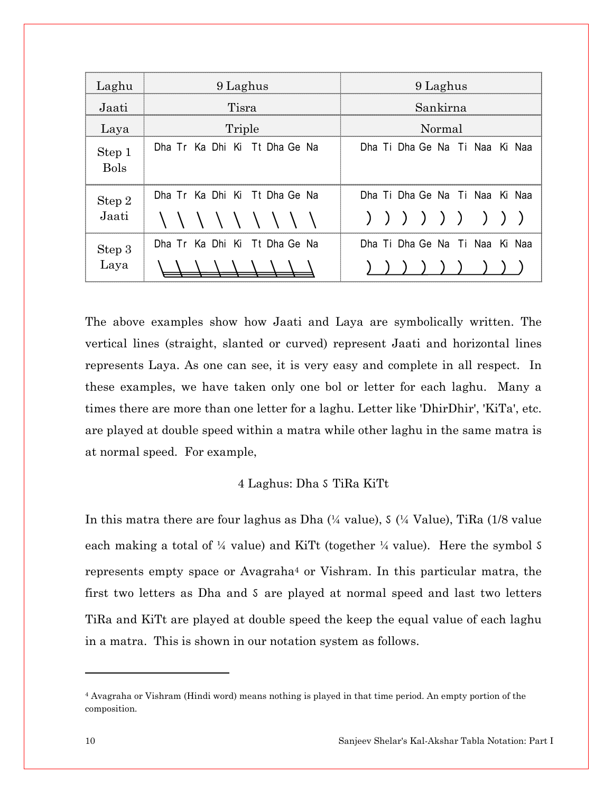| Laghu                 | 9 Laghus                      | 9 Laghus                       |  |  |
|-----------------------|-------------------------------|--------------------------------|--|--|
| Jaati                 | Tisra                         | Sankirna                       |  |  |
| Laya                  | Triple                        | Normal                         |  |  |
| Step 1<br><b>Bols</b> | Dha Tr Ka Dhi Ki Tt Dha Ge Na | Dha Ti Dha Ge Na Ti Naa Ki Naa |  |  |
| Step 2<br>Jaati       | Dha Tr Ka Dhi Ki Tt Dha Ge Na | Dha Ti Dha Ge Na Ti Naa Ki Naa |  |  |
|                       | \\\\\\\\\\                    | ) ) ) ) ) ) ) ) )              |  |  |
| Step 3<br>Laya        | Dha Tr Ka Dhi Ki Tt Dha Ge Na | Dha Ti Dha Ge Na Ti Naa Ki Naa |  |  |
|                       |                               |                                |  |  |

The above examples show how Jaati and Laya are symbolically written. The vertical lines (straight, slanted or curved) represent Jaati and horizontal lines represents Laya. As one can see, it is very easy and complete in all respect. In these examples, we have taken only one bol or letter for each laghu. Many a times there are more than one letter for a laghu. Letter like 'DhirDhir', 'KiTa', etc. are played at double speed within a matra while other laghu in the same matra is at normal speed. For example,

## 4 Laghus: Dha  $\delta$  TiRa KiTt

In this matra there are four laghus as Dha  $(4$  value),  $(4)$  Value), TiRa  $(1/8)$  value each making a total of  $\frac{1}{4}$  value) and KiTt (together  $\frac{1}{4}$  value). Here the symbol  $\delta$ represents empty space or Avagraha<sup>4</sup> or Vishram. In this particular matra, the first two letters as Dha and S are played at normal speed and last two letters TiRa and KiTt are played at double speed the keep the equal value of each laghu in a matra. This is shown in our notation system as follows.

<sup>4</sup> Avagraha or Vishram (Hindi word) means nothing is played in that time period. An empty portion of the composition.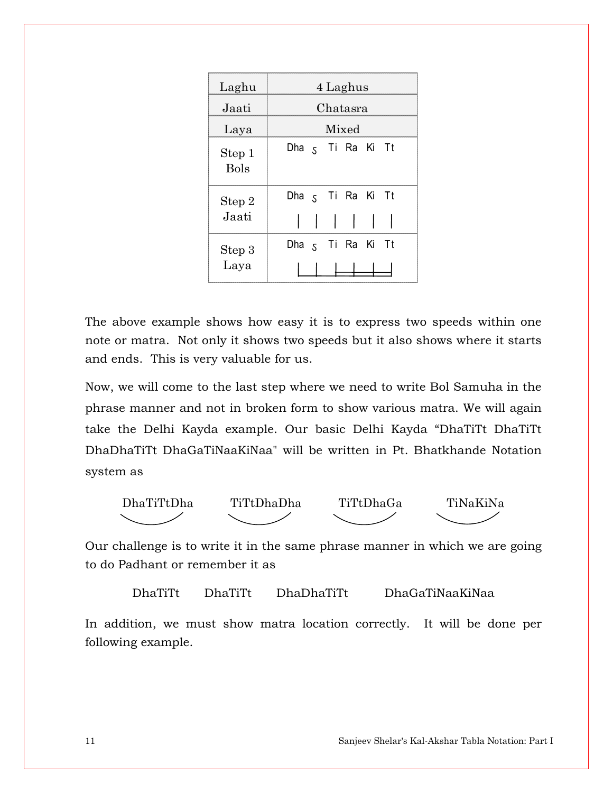| Laghu                 | 4 Laghus                     |  |  |
|-----------------------|------------------------------|--|--|
| Jaati                 | Chatasra                     |  |  |
| Laya                  | Mixed                        |  |  |
| Step 1<br><b>Bols</b> | Dha 5 Ti Ra Ki Tt            |  |  |
| Step 2                | Dha <sub>S</sub> Ti Ra Ki Tt |  |  |
| Jaati                 |                              |  |  |
| Step 3                | Dha <sub>S</sub> Ti Ra Ki Tt |  |  |
| Laya                  |                              |  |  |

The above example shows how easy it is to express two speeds within one note or matra. Not only it shows two speeds but it also shows where it starts and ends. This is very valuable for us.

Now, we will come to the last step where we need to write Bol Samuha in the phrase manner and not in broken form to show various matra. We will again take the Delhi Kayda example. Our basic Delhi Kayda "DhaTiTt DhaTiTt DhaDhaTiTt DhaGaTiNaaKiNaa" will be written in Pt. Bhatkhande Notation system as



Our challenge is to write it in the same phrase manner in which we are going to do Padhant or remember it as

DhaTiTt DhaTiTt DhaDhaTiTt DhaGaTiNaaKiNaa

In addition, we must show matra location correctly. It will be done per following example.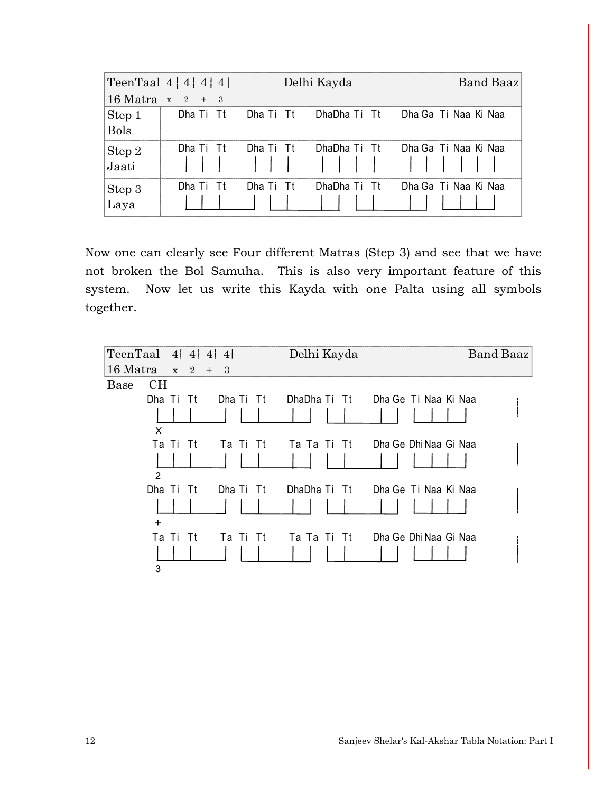| TeenTaal $4 \mid 4 \mid 4 \mid 4 \mid$ |                                   | Delhi Kayda         |  | Band Baaz                                             |  |
|----------------------------------------|-----------------------------------|---------------------|--|-------------------------------------------------------|--|
|                                        | $16 \text{ Matra } x \quad 2 + 3$ |                     |  |                                                       |  |
|                                        |                                   |                     |  | Dha Ti Tt Dha Ti Tt DhaDha Ti Tt Dha Ga Ti Naa Ki Naa |  |
| Step 1<br>Bols                         |                                   |                     |  |                                                       |  |
|                                        |                                   | Dha Ti Tt Dha Ti Tt |  | DhaDha Ti Tt Dha Ga Ti Naa Ki Naa                     |  |
| Step 2<br>Jaati                        |                                   |                     |  |                                                       |  |
| Step 3<br>Laya                         | Dha Ti Tt                         | Dha Ti Tt           |  | DhaDha Ti Tt Dha Ga Ti Naa Ki Naa                     |  |

Now one can clearly see Four different Matras (Step 3) and see that we have not broken the Bol Samuha. This is also very important feature of this system. Now let us write this Kayda with one Palta using all symbols together.

|          | TeenTaal $4$   $4$   $4$   $4$ |           | Delhi Kayda |                                   | Band Baaz |
|----------|--------------------------------|-----------|-------------|-----------------------------------|-----------|
| 16 Matra | $x \quad 2 +$                  | - 3       |             |                                   |           |
| Base     | CН                             |           |             |                                   |           |
|          | Dha Ti Tt                      | Dha Ti Tt |             | DhaDha Ti Tt Dha Ge Ti Naa Ki Naa |           |
|          |                                |           |             |                                   |           |
|          | X                              |           |             |                                   |           |
|          | Ta Ti<br>- Tt                  | Ta Ti Tt  |             | Ta Ta Ti Tt Dha Ge Dhi Naa Gi Naa |           |
|          |                                |           |             |                                   |           |
|          | $\mathcal{P}$                  |           |             |                                   |           |
|          | Dha Ti Tt                      | Dha Ti Tt |             | DhaDha Ti Tt Dha Ge Ti Naa Ki Naa |           |
|          |                                |           |             |                                   |           |
|          | $\ddot{}$                      |           |             |                                   |           |
|          | Ta Ti<br>- Tt                  | Ta Ti Tt  |             | Ta Ta Ti Tt Dha Ge Dhi Naa Gi Naa |           |
|          |                                |           |             |                                   |           |
|          | 3                              |           |             |                                   |           |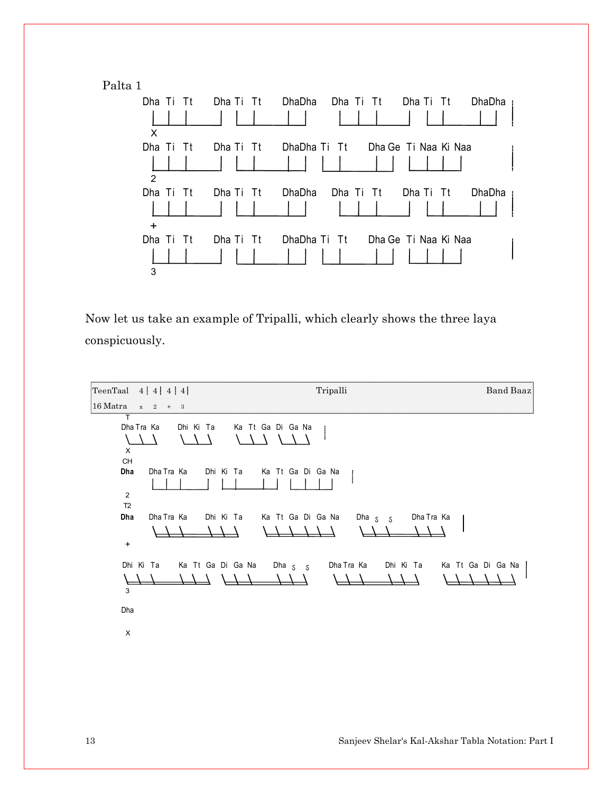Palta 1



Now let us take an example of Tripalli, which clearly shows the three laya conspicuously.

TeenTaal 4 4 4 4 Tripalli Band Baaz 16 Matra x 2 + 3 T Dha Tra Ka Dhi Ki Ta Ka Tt Ga Di Ga Na  $\Delta$ A A Λ  $\Lambda$ À X CH Dha Dha Tra Ka Dhi Ki Ta Ka Tt Ga Di Ga Na 2 T2 Dha Dha Tra Ka Dhi Ki Ta Ka Tt Ga Di Ga Na Dha <sub>S S</sub> Dha Tra Ka + Dhi Ki Ta Ka Tt Ga Di Ga Na Dha <sub>S S</sub> Dha Tra Ka Dhi Ki Ta Ka Tt Ga Di Ga Na  $\lambda$  $\overline{\phantom{a}}$ J. 3 Dha X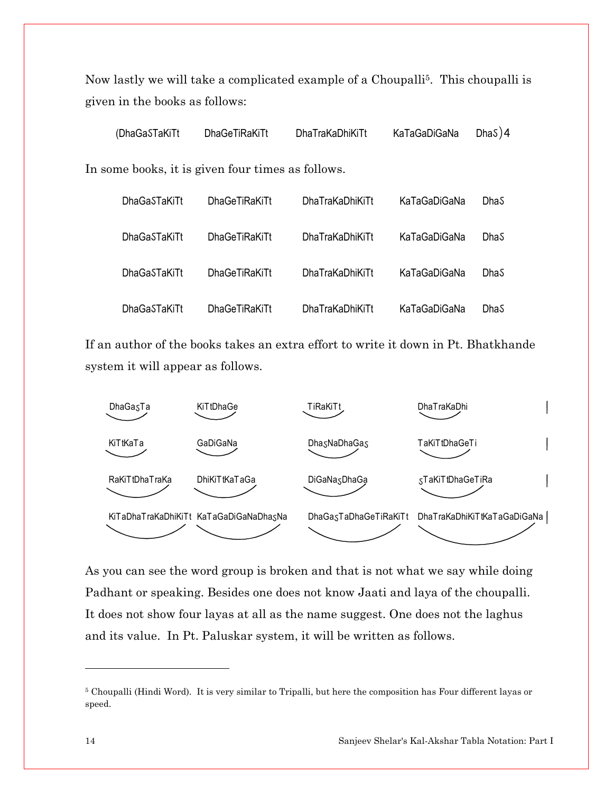Now lastly we will take a complicated example of a Choupalli<sup>5</sup>. This choupalli is given in the books as follows:

| (DhaGaSTaKiTt                                     | <b>DhaGeTiRaKiTt</b> | DhaTraKaDhiKiTt | KaTaGaDiGaNa | DhaS $)4$ |
|---------------------------------------------------|----------------------|-----------------|--------------|-----------|
| In some books, it is given four times as follows. |                      |                 |              |           |
| <b>DhaGaSTaKiTt</b>                               | <b>DhaGeTiRaKiTt</b> | DhaTraKaDhiKiTt | KaTaGaDiGaNa | DhaS      |
| <b>DhaGaSTaKiTt</b>                               | <b>DhaGeTiRaKiTt</b> | DhaTraKaDhiKiTt | KaTaGaDiGaNa | DhaS      |
| DhaGaSTaKiTt                                      | <b>DhaGeTiRaKiTt</b> | DhaTraKaDhiKiTt | KaTaGaDiGaNa | DhaS      |
| <b>DhaGaSTaKiTt</b>                               | <b>DhaGeTiRaKiTt</b> | DhaTraKaDhiKiTt | KaTaGaDiGaNa | DhaS      |

If an author of the books takes an extra effort to write it down in Pt. Bhatkhande system it will appear as follows.



As you can see the word group is broken and that is not what we say while doing Padhant or speaking. Besides one does not know Jaati and laya of the choupalli. It does not show four layas at all as the name suggest. One does not the laghus and its value. In Pt. Paluskar system, it will be written as follows.

<sup>5</sup> Choupalli (Hindi Word). It is very similar to Tripalli, but here the composition has Four different layas or speed.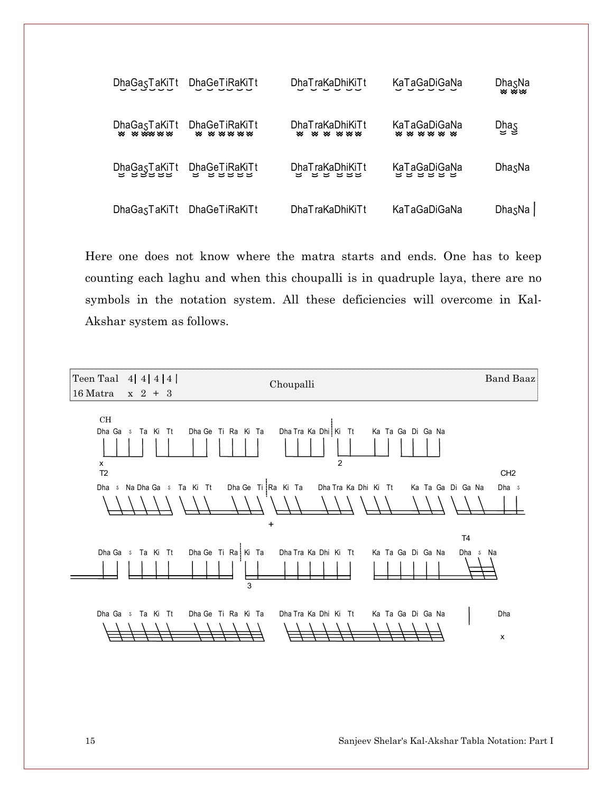

Here one does not know where the matra starts and ends. One has to keep counting each laghu and when this choupalli is in quadruple laya, there are no symbols in the notation system. All these deficiencies will overcome in Kal-Akshar system as follows.

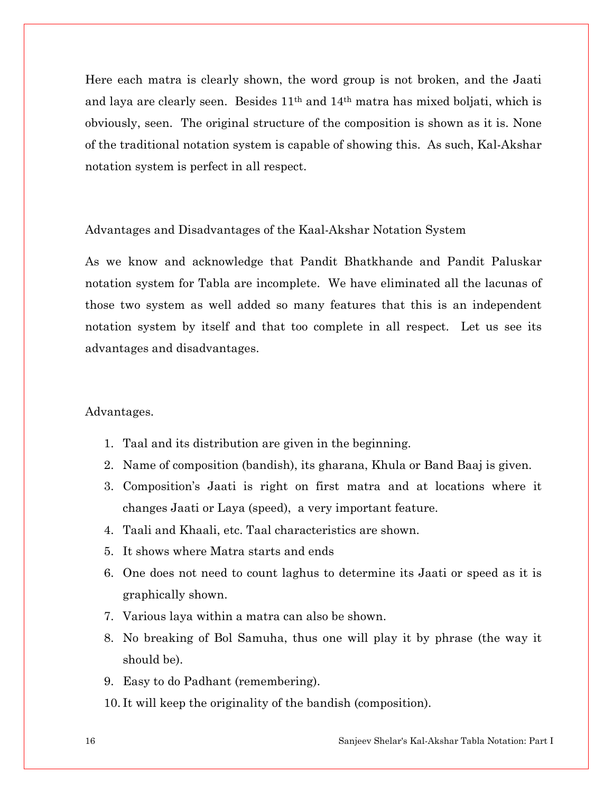Here each matra is clearly shown, the word group is not broken, and the Jaati and laya are clearly seen. Besides 11th and 14th matra has mixed boljati, which is obviously, seen. The original structure of the composition is shown as it is. None of the traditional notation system is capable of showing this. As such, Kal-Akshar notation system is perfect in all respect.

#### Advantages and Disadvantages of the Kaal-Akshar Notation System

As we know and acknowledge that Pandit Bhatkhande and Pandit Paluskar notation system for Tabla are incomplete. We have eliminated all the lacunas of those two system as well added so many features that this is an independent notation system by itself and that too complete in all respect. Let us see its advantages and disadvantages.

#### Advantages.

- 1. Taal and its distribution are given in the beginning.
- 2. Name of composition (bandish), its gharana, Khula or Band Baaj is given.
- 3. Composition's Jaati is right on first matra and at locations where it changes Jaati or Laya (speed), a very important feature.
- 4. Taali and Khaali, etc. Taal characteristics are shown.
- 5. It shows where Matra starts and ends
- 6. One does not need to count laghus to determine its Jaati or speed as it is graphically shown.
- 7. Various laya within a matra can also be shown.
- 8. No breaking of Bol Samuha, thus one will play it by phrase (the way it should be).
- 9. Easy to do Padhant (remembering).
- 10. It will keep the originality of the bandish (composition).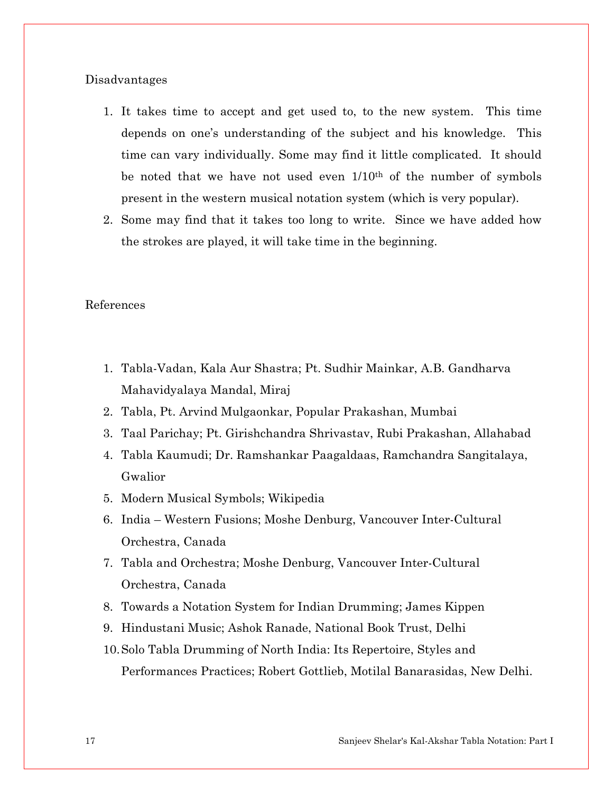#### Disadvantages

- 1. It takes time to accept and get used to, to the new system. This time depends on one's understanding of the subject and his knowledge. This time can vary individually. Some may find it little complicated. It should be noted that we have not used even  $1/10^{th}$  of the number of symbols present in the western musical notation system (which is very popular).
- 2. Some may find that it takes too long to write. Since we have added how the strokes are played, it will take time in the beginning.

#### References

- 1. Tabla-Vadan, Kala Aur Shastra; Pt. Sudhir Mainkar, A.B. Gandharva Mahavidyalaya Mandal, Miraj
- 2. Tabla, Pt. Arvind Mulgaonkar, Popular Prakashan, Mumbai
- 3. Taal Parichay; Pt. Girishchandra Shrivastav, Rubi Prakashan, Allahabad
- 4. Tabla Kaumudi; Dr. Ramshankar Paagaldaas, Ramchandra Sangitalaya, Gwalior
- 5. Modern Musical Symbols; Wikipedia
- 6. India Western Fusions; Moshe Denburg, Vancouver Inter-Cultural Orchestra, Canada
- 7. Tabla and Orchestra; Moshe Denburg, Vancouver Inter-Cultural Orchestra, Canada
- 8. Towards a Notation System for Indian Drumming; James Kippen
- 9. Hindustani Music; Ashok Ranade, National Book Trust, Delhi
- 10.Solo Tabla Drumming of North India: Its Repertoire, Styles and Performances Practices; Robert Gottlieb, Motilal Banarasidas, New Delhi.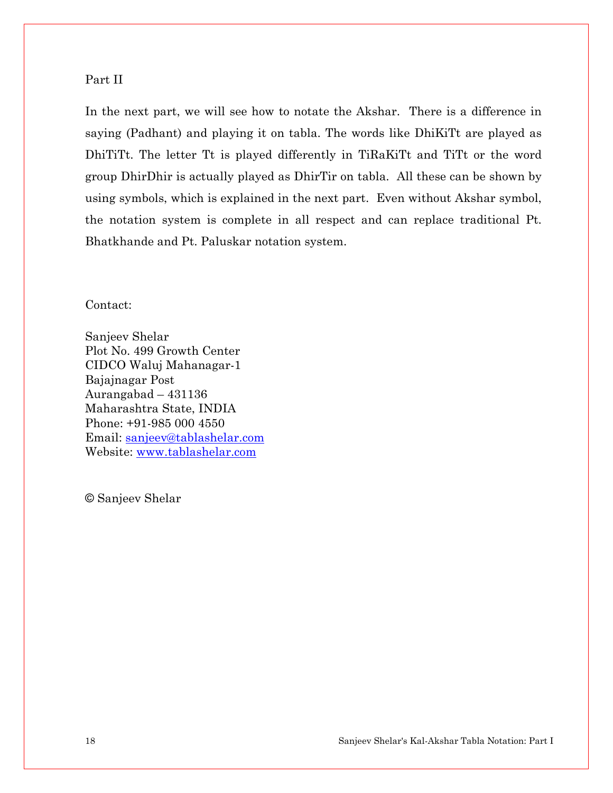## Part II

In the next part, we will see how to notate the Akshar. There is a difference in saying (Padhant) and playing it on tabla. The words like DhiKiTt are played as DhiTiTt. The letter Tt is played differently in TiRaKiTt and TiTt or the word group DhirDhir is actually played as DhirTir on tabla. All these can be shown by using symbols, which is explained in the next part. Even without Akshar symbol, the notation system is complete in all respect and can replace traditional Pt. Bhatkhande and Pt. Paluskar notation system.

Contact:

Sanjeev Shelar Plot No. 499 Growth Center CIDCO Waluj Mahanagar-1 Bajajnagar Post Aurangabad – 431136 Maharashtra State, INDIA Phone: +91-985 000 4550 Email: sanjeev@tablashelar.com Website: www.tablashelar.com

© Sanjeev Shelar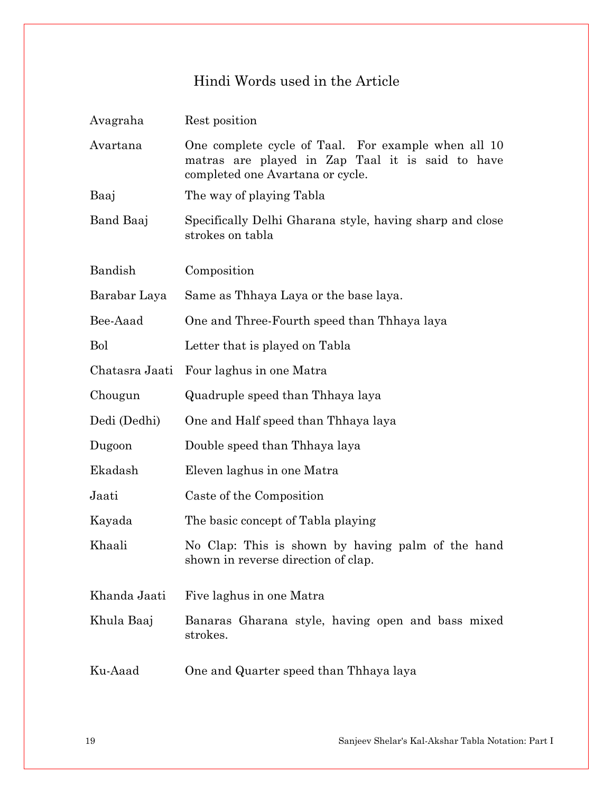# Hindi Words used in the Article

| Avagraha       | Rest position                                                                                                                               |
|----------------|---------------------------------------------------------------------------------------------------------------------------------------------|
| Avartana       | One complete cycle of Taal. For example when all 10<br>matras are played in Zap Taal it is said to have<br>completed one Avartana or cycle. |
| Baaj           | The way of playing Tabla                                                                                                                    |
| Band Baaj      | Specifically Delhi Gharana style, having sharp and close<br>strokes on tabla                                                                |
| Bandish        | Composition                                                                                                                                 |
| Barabar Laya   | Same as Thhaya Laya or the base laya.                                                                                                       |
| Bee-Aaad       | One and Three-Fourth speed than Thhaya laya                                                                                                 |
| <b>Bol</b>     | Letter that is played on Tabla                                                                                                              |
| Chatasra Jaati | Four laghus in one Matra                                                                                                                    |
| Chougun        | Quadruple speed than Thhaya laya                                                                                                            |
| Dedi (Dedhi)   | One and Half speed than Thhaya laya                                                                                                         |
| Dugoon         | Double speed than Thhaya laya                                                                                                               |
| Ekadash        | Eleven laghus in one Matra                                                                                                                  |
| Jaati          | Caste of the Composition                                                                                                                    |
| Kayada         | The basic concept of Tabla playing                                                                                                          |
| Khaali         | No Clap: This is shown by having palm of the hand<br>shown in reverse direction of clap.                                                    |
| Khanda Jaati   | Five laghus in one Matra                                                                                                                    |
| Khula Baaj     | Banaras Gharana style, having open and bass mixed<br>strokes.                                                                               |
| Ku-Aaad        | One and Quarter speed than Thhaya laya                                                                                                      |